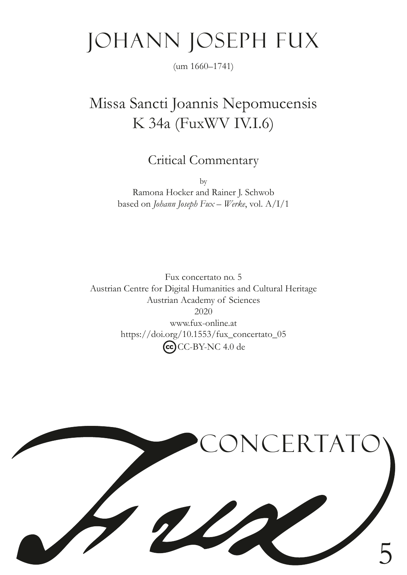# Johann Joseph Fux

(um 1660–1741)

## Missa Sancti Joannis Nepomucensis K 34a (FuxWV IV.I.6)

Critical Commentary

by Ramona Hocker and Rainer J. Schwob based on *Johann Joseph Fux – Werke*, vol. A/I/1

Fux concertato no. 5 Austrian Centre for Digital Humanities and Cultural Heritage Austrian Academy of Sciences 2020 www.fux-online.at https://doi.org/10.1553/fux\_concertato\_05 CC-BY-NC 4.0 de

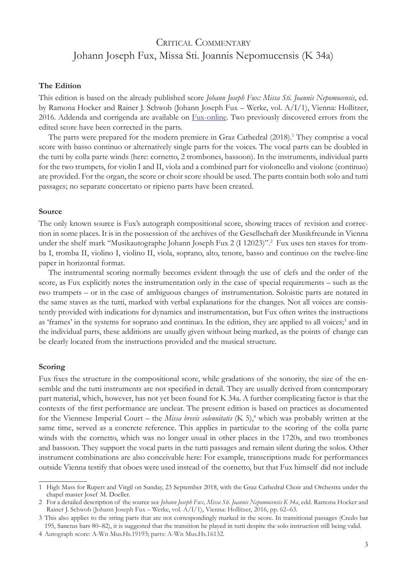### CRITICAL COMMENTARY Johann Joseph Fux, Missa Sti. Joannis Nepomucensis (K 34a)

#### **The Edition**

This edition is based on the already published score *Johann Joseph Fux: Missa Sti. Joannis Nepomucensis*, ed. by Ramona Hocker and Rainer J. Schwob (Johann Joseph Fux – Werke, vol. A/I/1), Vienna: Hollitzer, 2016. Addenda and corrigenda are available on [Fux-online](https://www.fux-online.at). Two previously discovered errors from the edited score have been corrected in the parts.

The parts were prepared for the modern premiere in Graz Cathedral (2018).<sup>1</sup> They comprise a vocal score with basso continuo or alternatively single parts for the voices. The vocal parts can be doubled in the tutti by colla parte winds (here: cornetto, 2 trombones, bassoon). In the instruments, individual parts for the two trumpets, for violin I and II, viola and a combined part for violoncello and violone (continuo) are provided. For the organ, the score or choir score should be used. The parts contain both solo and tutti passages; no separate concertato or ripieno parts have been created.

#### **Source**

The only known source is Fux's autograph compositional score, showing traces of revision and correction in some places. It is in the possession of the archives of the Gesellschaft der Musikfreunde in Vienna under the shelf mark "Musikautographe Johann Joseph Fux 2 (I 12023)".2 Fux uses ten staves for tromba I, tromba II, violino I, violino II, viola, soprano, alto, tenore, basso and continuo on the twelve-line paper in horizontal format.

The instrumental scoring normally becomes evident through the use of clefs and the order of the score, as Fux explicitly notes the instrumentation only in the case of special requirements – such as the two trumpets – or in the case of ambiguous changes of instrumentation. Soloistic parts are notated in the same staves as the tutti, marked with verbal explanations for the changes. Not all voices are consistently provided with indications for dynamics and instrumentation, but Fux often writes the instructions as 'frames' in the systems for soprano and continuo. In the edition, they are applied to all voices;<sup>3</sup> and in the individual parts, these additions are usually given without being marked, as the points of change can be clearly located from the instructions provided and the musical structure.

#### **Scoring**

Fux fxes the structure in the compositional score, while gradations of the sonority, the size of the ensemble and the tutti instruments are not specifed in detail. They are usually derived from contemporary part material, which, however, has not yet been found for K 34a. A further complicating factor is that the contexts of the frst performance are unclear. The present edition is based on practices as documented for the Viennese Imperial Court – the *Missa brevis solennitatis* (K 5),<sup>4</sup> which was probably written at the same time, served as a concrete reference. This applies in particular to the scoring of the colla parte winds with the cornetto, which was no longer usual in other places in the 1720s, and two trombones and bassoon. They support the vocal parts in the tutti passages and remain silent during the solos. Other instrument combinations are also conceivable here: For example, transcriptions made for performances outside Vienna testify that oboes were used instead of the cornetto, but that Fux himself did not include

<sup>1</sup> High Mass for Rupert and Virgil on Sunday, 23 September 2018, with the Graz Cathedral Choir and Orchestra under the chapel master Josef M. Doeller.

<sup>2</sup> For a detailed description of the source see *Johann Joseph Fux, Missa Sti. Joannis Nepomucensis K 34a*, edd. Ramona Hocker and Rainer J. Schwob (Johann Joseph Fux – Werke, vol. A/I/1), Vienna: Hollitzer, 2016, pp. 62–63.

<sup>3</sup> This also applies to the string parts that are not correspondingly marked in the score. In transitional passages (Credo bar 195, Sanctus bars 80–82), it is suggested that the transition be played in tutti despite the solo instruction still being valid.

<sup>4</sup> Autograph score: A-Wn Mus.Hs.19193; parts: A-Wn Mus.Hs.16132.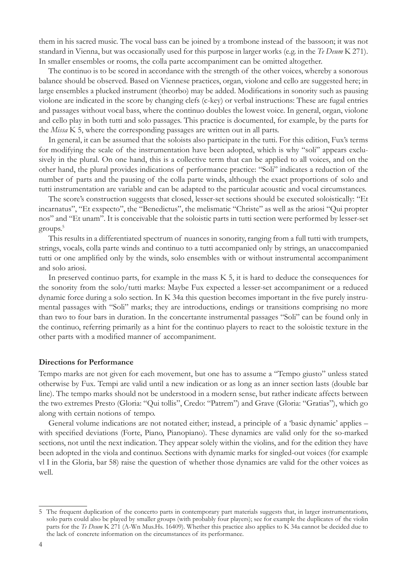them in his sacred music. The vocal bass can be joined by a trombone instead of the bassoon; it was not standard in Vienna, but was occasionally used for this purpose in larger works (e.g. in the *Te Deum* K 271). In smaller ensembles or rooms, the colla parte accompaniment can be omitted altogether.

The continuo is to be scored in accordance with the strength of the other voices, whereby a sonorous balance should be observed. Based on Viennese practices, organ, violone and cello are suggested here; in large ensembles a plucked instrument (theorbo) may be added. Modifcations in sonority such as pausing violone are indicated in the score by changing clefs (c-key) or verbal instructions: These are fugal entries and passages without vocal bass, where the continuo doubles the lowest voice. In general, organ, violone and cello play in both tutti and solo passages. This practice is documented, for example, by the parts for the *Missa* K 5, where the corresponding passages are written out in all parts.

In general, it can be assumed that the soloists also participate in the tutti. For this edition, Fux's terms for modifying the scale of the instrumentation have been adopted, which is why "soli" appears exclusively in the plural. On one hand, this is a collective term that can be applied to all voices, and on the other hand, the plural provides indications of performance practice: "Soli" indicates a reduction of the number of parts and the pausing of the colla parte winds, although the exact proportions of solo and tutti instrumentation are variable and can be adapted to the particular acoustic and vocal circumstances.

The score's construction suggests that closed, lesser-set sections should be executed soloistically: "Et incarnatus", "Et exspecto", the "Benedictus", the melismatic "Christe" as well as the ariosi "Qui propter nos" and "Et unam". It is conceivable that the soloistic parts in tutti section were performed by lesser-set groups.<sup>5</sup>

This results in a differentiated spectrum of nuances in sonority, ranging from a full tutti with trumpets, strings, vocals, colla parte winds and continuo to a tutti accompanied only by strings, an unaccompanied tutti or one amplifed only by the winds, solo ensembles with or without instrumental accompaniment and solo ariosi.

In preserved continuo parts, for example in the mass K 5, it is hard to deduce the consequences for the sonority from the solo/tutti marks: Maybe Fux expected a lesser-set accompaniment or a reduced dynamic force during a solo section. In K 34a this question becomes important in the fve purely instrumental passages with "Soli" marks; they are introductions, endings or transitions comprising no more than two to four bars in duration. In the concertante instrumental passages "Soli" can be found only in the continuo, referring primarily as a hint for the continuo players to react to the soloistic texture in the other parts with a modifed manner of accompaniment.

#### **Directions for Performance**

Tempo marks are not given for each movement, but one has to assume a "Tempo giusto" unless stated otherwise by Fux. Tempi are valid until a new indication or as long as an inner section lasts (double bar line). The tempo marks should not be understood in a modern sense, but rather indicate affects between the two extremes Presto (Gloria: "Qui tollis", Credo: "Patrem") and Grave (Gloria: "Gratias"), which go along with certain notions of tempo.

General volume indications are not notated either; instead, a principle of a 'basic dynamic' applies – with specifed deviations (Forte, Piano, Pianopiano). These dynamics are valid only for the so-marked sections, not until the next indication. They appear solely within the violins, and for the edition they have been adopted in the viola and continuo. Sections with dynamic marks for singled-out voices (for example vl I in the Gloria, bar 58) raise the question of whether those dynamics are valid for the other voices as well.

<sup>5</sup> The frequent duplication of the concerto parts in contemporary part materials suggests that, in larger instrumentations, solo parts could also be played by smaller groups (with probably four players); see for example the duplicates of the violin parts for the *Te Deum* K 271 (A-Wn Mus.Hs. 16409). Whether this practice also applies to K 34a cannot be decided due to the lack of concrete information on the circumstances of its performance.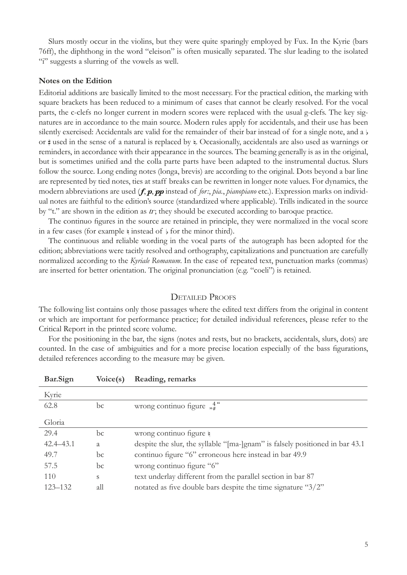Slurs mostly occur in the violins, but they were quite sparingly employed by Fux. In the Kyrie (bars 76ff), the diphthong in the word "eleison" is often musically separated. The slur leading to the isolated "i" suggests a slurring of the vowels as well.

#### **Notes on the Edition**

Editorial additions are basically limited to the most necessary. For the practical edition, the marking with square brackets has been reduced to a minimum of cases that cannot be clearly resolved. For the vocal parts, the c-clefs no longer current in modern scores were replaced with the usual g-clefs. The key signatures are in accordance to the main source. Modern rules apply for accidentals, and their use has been silently exercised: Accidentals are valid for the remainder of their bar instead of for a single note, and a  $\flat$ or # used in the sense of a natural is replaced by  $\frac{1}{7}$ . Occasionally, accidentals are also used as warnings or reminders, in accordance with their appearance in the sources. The beaming generally is as in the original, but is sometimes unifed and the colla parte parts have been adapted to the instrumental ductus. Slurs follow the source. Long ending notes (longa, brevis) are according to the original. Dots beyond a bar line are represented by tied notes, ties at staff breaks can be rewritten in longer note values. For dynamics, the modern abbreviations are used (*f*, *p*, *pp* instead of *for:*, *pia.*, *pianopiano* etc.). Expression marks on individual notes are faithful to the edition's source (standardized where applicable). Trills indicated in the source by " $t$ ." are shown in the edition as  $t$ ; they should be executed according to baroque practice.

The continuo fgures in the source are retained in principle, they were normalized in the vocal score in a few cases (for example  $\frac{1}{2}$  instead of  $\frac{1}{2}$  for the minor third).

The continuous and reliable wording in the vocal parts of the autograph has been adopted for the edition; abbreviations were tacitly resolved and orthography, capitalizations and punctuation are carefully normalized according to the *Kyriale Romanum*. In the case of repeated text, punctuation marks (commas) are inserted for better orientation. The original pronunciation (e.g. "coeli") is retained.

#### DETAILED PROOFS

The following list contains only those passages where the edited text differs from the original in content or which are important for performance practice; for detailed individual references, please refer to the Critical Report in the printed score volume.

For the positioning in the bar, the signs (notes and rests, but no brackets, accidentals, slurs, dots) are counted. In the case of ambiguities and for a more precise location especially of the bass fgurations, detailed references according to the measure may be given.

| bar.Sign      | VOICE(S) | Reading, remarks                                                             |
|---------------|----------|------------------------------------------------------------------------------|
| Kyrie         |          |                                                                              |
| 62.8          | bc       | wrong continuo figure $\frac{4}{n^*}$                                        |
| Gloria        |          |                                                                              |
| 29.4          | bc       | wrong continuo figure $\frac{1}{2}$                                          |
| $42.4 - 43.1$ | a        | despite the slur, the syllable "[ma-]gnam" is falsely positioned in bar 43.1 |
| 49.7          | bc       | continuo figure "6" erroneous here instead in bar 49.9                       |
| 57.5          | bc       | wrong continuo figure "6"                                                    |
| 110           | S        | text underlay different from the parallel section in bar 87                  |
| $123 - 132$   | all      | notated as five double bars despite the time signature "3/2"                 |
|               |          |                                                                              |

**Bar.Sign Voice(s) Reading, remarks**